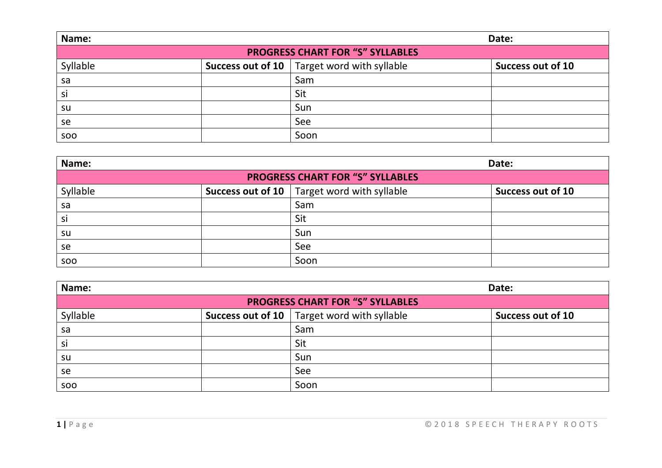| Name:                                   |  | Date:                                                  |                          |
|-----------------------------------------|--|--------------------------------------------------------|--------------------------|
| <b>PROGRESS CHART FOR "S" SYLLABLES</b> |  |                                                        |                          |
| Syllable                                |  | <b>Success out of 10</b> $ $ Target word with syllable | <b>Success out of 10</b> |
| sa                                      |  | Sam                                                    |                          |
| si                                      |  | Sit                                                    |                          |
| su                                      |  | Sun                                                    |                          |
| se                                      |  | See                                                    |                          |
| <b>SOO</b>                              |  | Soon                                                   |                          |

| Name:                                   |  | Date:                                           |                          |  |
|-----------------------------------------|--|-------------------------------------------------|--------------------------|--|
| <b>PROGRESS CHART FOR "S" SYLLABLES</b> |  |                                                 |                          |  |
| Syllable                                |  | Success out of 10 $ $ Target word with syllable | <b>Success out of 10</b> |  |
| sa                                      |  | Sam                                             |                          |  |
| si                                      |  | Sit                                             |                          |  |
| su                                      |  | Sun                                             |                          |  |
| se                                      |  | See                                             |                          |  |
| <b>SOO</b>                              |  | Soon                                            |                          |  |

| Name:                                   |  | Date:                                           |                          |  |
|-----------------------------------------|--|-------------------------------------------------|--------------------------|--|
| <b>PROGRESS CHART FOR "S" SYLLABLES</b> |  |                                                 |                          |  |
| Syllable                                |  | Success out of 10 $ $ Target word with syllable | <b>Success out of 10</b> |  |
| sa                                      |  | Sam                                             |                          |  |
| si                                      |  | Sit                                             |                          |  |
| su                                      |  | Sun                                             |                          |  |
| se                                      |  | See                                             |                          |  |
| soo                                     |  | Soon                                            |                          |  |